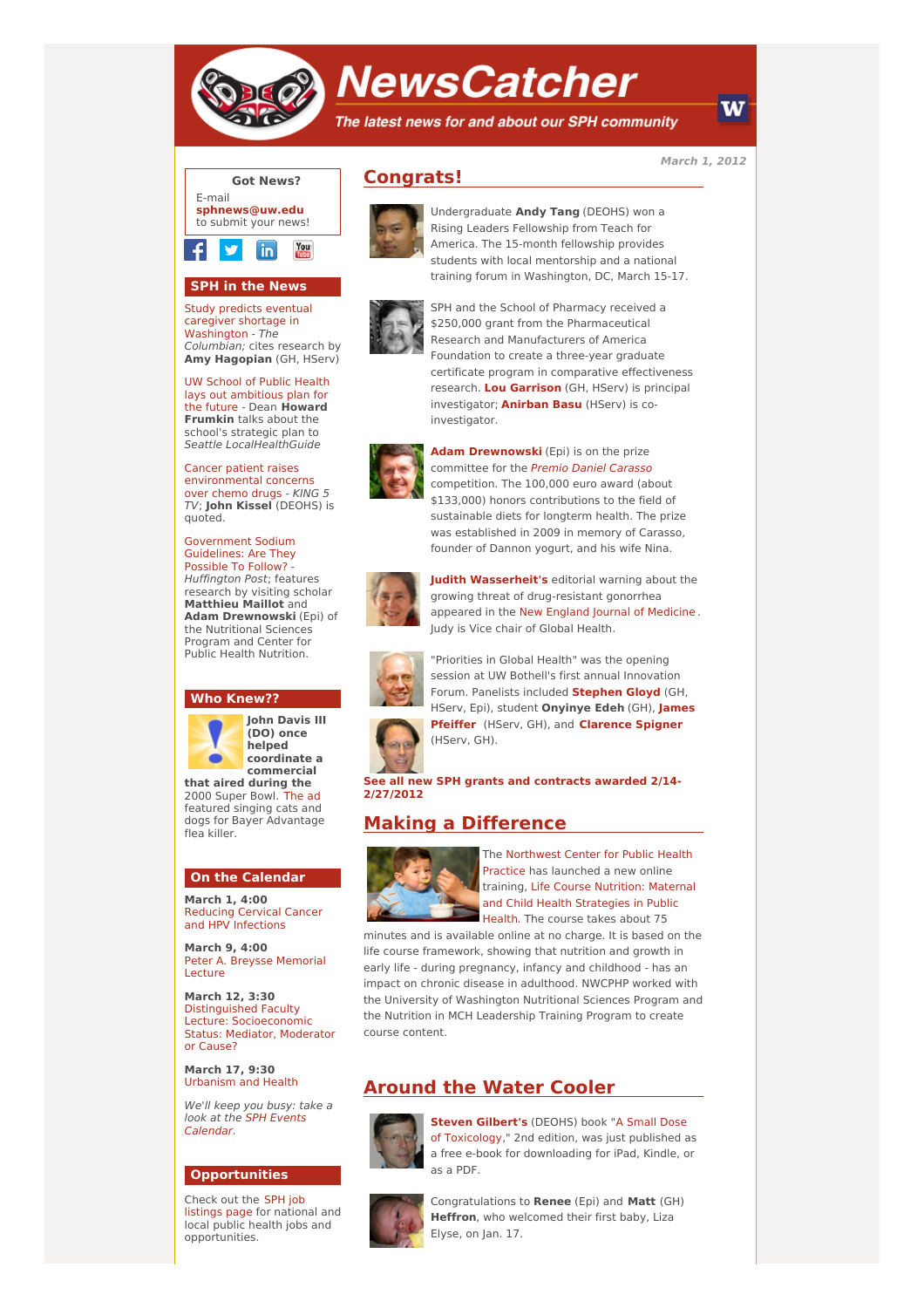

# **NewsCatcher**

The latest news for and about our SPH community

**March 1, 2012**



## **SPH in the News**

Study predicts eventual caregiver shortage in [Washington](http://engage.washington.edu/site/R?i=rSlY6o9gtwFZzIDzHpZ6sA) - The Columbian; cites research by **Amy Hagopian** (GH, HServ)

UW School of Public Health lays out [ambitious](http://engage.washington.edu/site/R?i=mvQwu_0m9is87choY7zOHg) plan for the future - Dean **Howard Frumkin** talks about the school's strategic plan to Seattle LocalHealthGuide

Cancer patient raises [environmental](http://engage.washington.edu/site/R?i=b-xO4etLL8mbUp4QCspz8A) concerns over chemo drugs - KING 5 TV; **John Kissel** (DEOHS) is quoted.

[Government](http://engage.washington.edu/site/R?i=QPnKH9GbsqJRqYWx-p5g3Q) Sodium Guidelines: Are They Possible To Follow? Huffington Post; features research by visiting scholar **Matthieu Maillot** and **Adam Drewnowski** (Epi) of the Nutritional Sciences Program and Center for Public Health Nutrition.

### **Who Knew??**



**John Davis III (DO) once helped coordinate a commercial that aired during the**

2000 Super Bowl. [The](http://engage.washington.edu/site/R?i=OCT7Ekc-zSjNqjG910zC6Q) ad featured singing cats and dogs for Bayer Advantage flea killer.

#### **On the Calendar**

**March 1, 4:00** Reducing Cervical Cancer and HPV [Infections](http://engage.washington.edu/site/R?i=baYV9d_CLUK_KpF-8RO87Q)

**March 9, 4:00** Peter A. Breysse [Memorial](http://engage.washington.edu/site/R?i=hI-Ch88_F0SiG30C1zwwdQ) Lecture

**March 12, 3:30** Distinguished Faculty Lecture: [Socioeconomic](http://engage.washington.edu/site/R?i=BDcJFGqW62RCsDnhopK9Nw) Status: Mediator, Moderator or Cause?

**March 17, 9:30** [Urbanism](http://engage.washington.edu/site/R?i=uB52P_bQ4K_0CCK7lNeuGA) and Health

We'll keep you busy: take a look at the SPH Events [Calendar.](http://engage.washington.edu/site/R?i=YNgr6usuEtRNsAsuhN47XA)

#### **Opportunities**

Check out the SPH job [listings](http://engage.washington.edu/site/R?i=E_WopxsXFakQlf8sjKpSRA) page for national and local public health jobs and opportunities.

# **Congrats!**



Undergraduate **Andy Tang** (DEOHS) won a Rising Leaders Fellowship from Teach for America. The 15-month fellowship provides students with local mentorship and a national training forum in Washington, DC, March 15-17.



SPH and the School of Pharmacy received a \$250,000 grant from the Pharmaceutical Research and Manufacturers of America Foundation to create a three-year graduate certificate program in comparative effectiveness research. **Lou [Garrison](http://engage.washington.edu/site/R?i=dqnDbOfWVB-i9BKmyfLNcQ)** (GH, HServ) is principal investigator; **[Anirban](http://engage.washington.edu/site/R?i=w66dthU3KVECHvOHPDNo3g) Basu** (HServ) is coinvestigator.



**Adam [Drewnowski](http://engage.washington.edu/site/R?i=RAdgw9FmxwpT3TLRHHYQrA)** (Epi) is on the prize committee for the Premio Daniel [Carasso](http://engage.washington.edu/site/R?i=TQzYdhhsup0FdApXCa77ag) competition. The 100,000 euro award (about \$133,000) honors contributions to the field of sustainable diets for longterm health. The prize was established in 2009 in memory of Carasso, founder of Dannon yogurt, and his wife Nina.



**Judith [Wasserheit's](http://engage.washington.edu/site/R?i=DVVc438Me87DhC835pxQsQ)** editorial warning about the growing threat of drug-resistant gonorrhea appeared in the New England Journal of [Medicine](http://engage.washington.edu/site/R?i=I8zeIzPU8oDP-KIcXVSELw) . Judy is Vice chair of Global Health.



"Priorities in Global Health" was the opening session at UW Bothell's first annual Innovation Forum. Panelists included **[Stephen](http://engage.washington.edu/site/R?i=4GRdtTJ8brOiEjW8k0MBhQ) Gloyd** (GH, HServ, Epi), student **Onyinye Edeh** (GH), **James Pfeiffe[r](http://engage.washington.edu/site/R?i=xbPMd_0cBGqTZb-dQTzskQ)** (HServ, GH), and **[Clarence](http://engage.washington.edu/site/R?i=inRENltD2mM9N9aX4vO79g) Spigner** (HServ, GH).

**See all new SPH grants and contracts awarded 2/14- [2/27/2012](http://engage.washington.edu/site/R?i=xNyFvlX6q0Ig1MSoTCGmEA)**

## **Making a Difference**



The [Northwest](http://engage.washington.edu/site/R?i=-zy_fYNuIJiePKw45vrn8g) Center for Public Health Practice has launched a new online training, Life Course Nutrition: Maternal and Child Health [Strategies](http://engage.washington.edu/site/R?i=-F8RbNEIZ0iR31q1k_PETg) in Public Health. The course takes about 75

minutes and is available online at no charge. It is based on the life course framework, showing that nutrition and growth in early life - during pregnancy, infancy and childhood - has an impact on chronic disease in adulthood. NWCPHP worked with the University of Washington Nutritional Sciences Program and the Nutrition in MCH Leadership Training Program to create course content.

## **Around the Water Cooler**



**Steven [Gilbert's](http://engage.washington.edu/site/R?i=xsCwHXSKNwY9Af2tzx2gVw)** (DEOHS) book "A Small Dose of [Toxicology,"](http://engage.washington.edu/site/R?i=GJIk6L406SnqMC7rK9vEbw) 2nd edition, was just published as a free e-book for downloading for iPad, Kindle, or as a PDF.



Congratulations to **Renee** (Epi) and **Matt** (GH) **Heffron**, who welcomed their first baby, Liza Elyse, on Jan. 17.

W